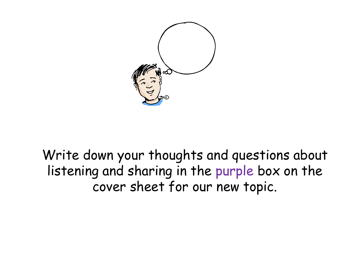

Write down your thoughts and questions about listening and sharing in the purple box on the cover sheet for our new topic.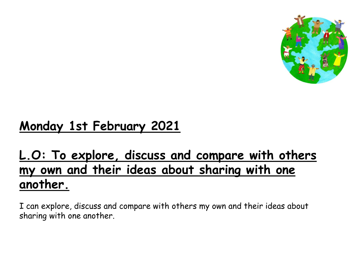

#### **Monday 1st February 2021**

#### **L.O: To explore, discuss and compare with others my own and their ideas about sharing with one another.**

I can explore, discuss and compare with others my own and their ideas about sharing with one another.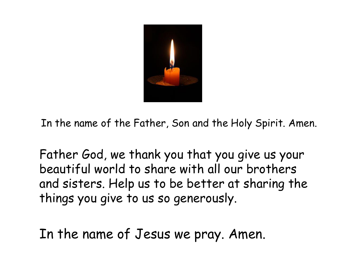

In the name of the Father, Son and the Holy Spirit. Amen.

Father God, we thank you that you give us your beautiful world to share with all our brothers and sisters. Help us to be better at sharing the things you give to us so generously.

In the name of Jesus we pray. Amen.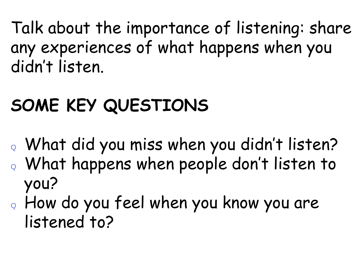Talk about the importance of listening: share any experiences of what happens when you didn't listen.

#### **SOME KEY QUESTIONS**

- <sup>Q</sup> What did you miss when you didn't listen? <sup>Q</sup> What happens when people don't listen to
- you?
- <sup>Q</sup> How do you feel when you know you are listened to?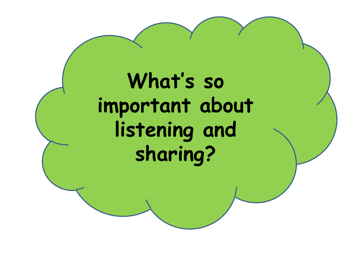**What's so important about listening and sharing?**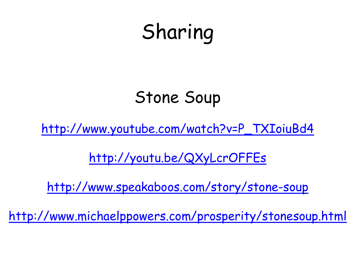### Sharing

#### Stone Soup

[http://www.youtube.com/watch?v=P\\_TXIoiuBd4](http://www.youtube.com/watch?v=P_TXIoiuBd4)

<http://youtu.be/QXyLcrOFFEs>

<http://www.speakaboos.com/story/stone-soup>

<http://www.michaelppowers.com/prosperity/stonesoup.html>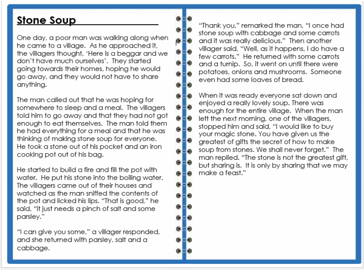#### **Stone Soup**

One day, a poor man was walking along when he came to a village. As he approached it, the villagers thought, 'Here is a beggar and we don't have much ourselves'. They started going towards their homes, hoping he would go away, and they would not have to share anything.

¢

G.

◉

G

G

G

۰

G. i٥

G

G.

 $\bullet$ Ξэ

G iО

۰ 50

- 0 ᅊ

ы

The man called out that he was hoping for somewhere to sleep and a meal. The villagers told him to go away and that they had not got enough to eat themselves. The man told them he had everything for a meal and that he was thinking of making stone soup for everyone. He took a stone out of his pocket and an iron cooking pot out of his bag.

He started to build a fire and fill the pot with water. He put his stone into the boiling water. The villagers came out of their houses and watched as the man sniffed the contents of the pot and licked his lips. "That is good," he said, "it just needs a pinch of salt and some parsley."

"I can give you some," a villager responded, and she returned with parsley, salt and a cabbage.

"Thank you," remarked the man, "I once had stone soup with cabbage and some carrots and it was really delicious." Then another villager said, "Well, as it happens, I do have a few carrots." He returned with some carrots and a turnip. So, it went on until there were potatoes, onions and mushrooms. Someone even had some loaves of bread.

When it was ready everyone sat down and enjoyed a really lovely soup. There was enough for the entire village. When the man left the next morning, one of the villagers, stopped him and said, "I would like to buy your magic stone. You have given us the greatest of gifts the secret of how to make soup from stones. We shall never forget." The man replied. "The stone is not the greatest gift, but sharing is. It is only by sharing that we may make a feast."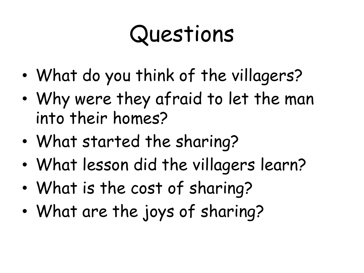## Questions

- What do you think of the villagers?
- Why were they afraid to let the man into their homes?
- What started the sharing?
- What lesson did the villagers learn?
- What is the cost of sharing?
- What are the joys of sharing?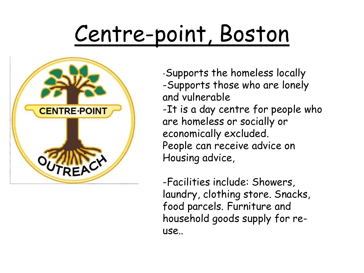## Centre-point, Boston



-Supports the homeless locally -Supports those who are lonely and vulnerable -It is a day centre for people who are homeless or socially or economically excluded. People can receive advice on Housing advice,

-Facilities include: Showers, laundry, clothing store. Snacks, food parcels. Furniture and household goods supply for reuse..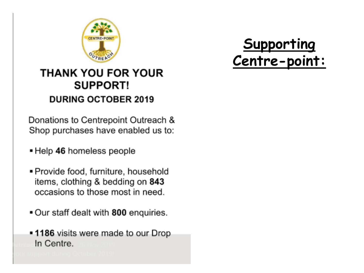

#### Supporting Centre-point:

#### **THANK YOU FOR YOUR SUPPORT! DURING OCTOBER 2019**

Donations to Centrepoint Outreach & Shop purchases have enabled us to:

- Help 46 homeless people
- · Provide food, furniture, household items, clothing & bedding on 843 occasions to those most in need.
- Our staff dealt with 800 enquiries.
- **-1186** visits were made to our Drop In Centre.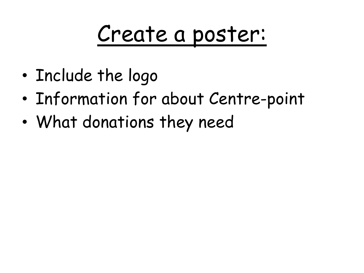### Create a poster:

- Include the logo
- Information for about Centre-point
- What donations they need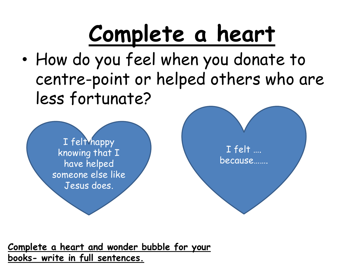# **Complete a heart**

• How do you feel when you donate to centre-point or helped others who are less fortunate?

I felt happy knowing that I have helped someone else like Jesus does.



**Complete a heart and wonder bubble for your books- write in full sentences.**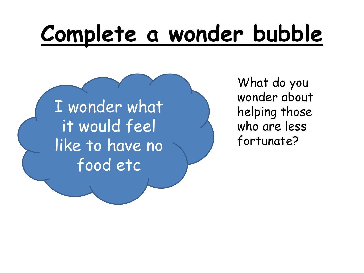## **Complete a wonder bubble**

I wonder what it would feel like to have no food etc

What do you wonder about helping those who are less fortunate?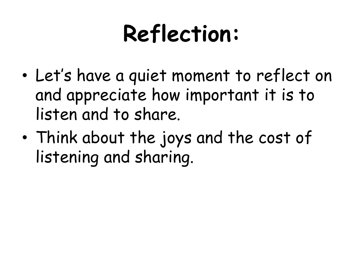## **Reflection:**

- Let's have a quiet moment to reflect on and appreciate how important it is to listen and to share.
- Think about the joys and the cost of listening and sharing.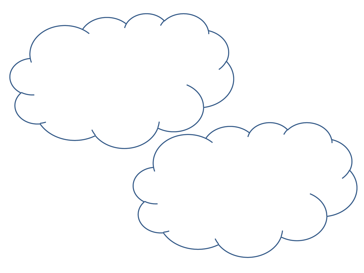